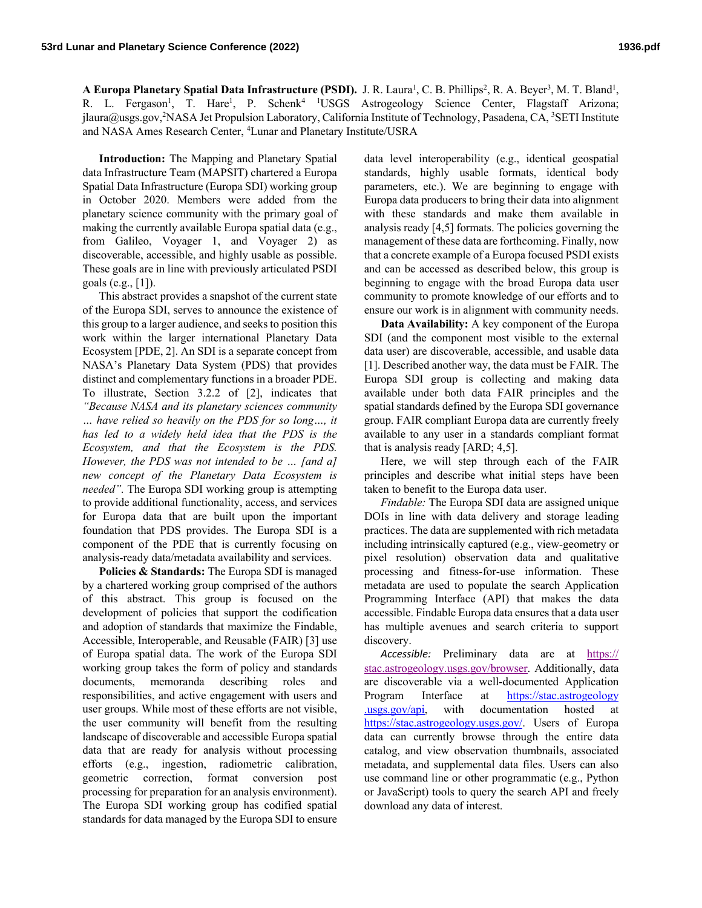A Europa Planetary Spatial Data Infrastructure (PSDI). J. R. Laura<sup>1</sup>, C. B. Phillips<sup>2</sup>, R. A. Beyer<sup>3</sup>, M. T. Bland<sup>1</sup>, R. L. Fergason<sup>1</sup>, T. Hare<sup>1</sup>, P. Schenk<sup>4 1</sup>USGS Astrogeology Science Center, Flagstaff Arizona; jlaura@usgs.gov,<sup>2</sup>NASA Jet Propulsion Laboratory, California Institute of Technology, Pasadena, CA, <sup>3</sup>SETI Institute and NASA Ames Research Center, 4 Lunar and Planetary Institute/USRA

**Introduction:** The Mapping and Planetary Spatial data Infrastructure Team (MAPSIT) chartered a Europa Spatial Data Infrastructure (Europa SDI) working group in October 2020. Members were added from the planetary science community with the primary goal of making the currently available Europa spatial data (e.g., from Galileo, Voyager 1, and Voyager 2) as discoverable, accessible, and highly usable as possible. These goals are in line with previously articulated PSDI goals (e.g., [1]).

This abstract provides a snapshot of the current state of the Europa SDI, serves to announce the existence of this group to a larger audience, and seeks to position this work within the larger international Planetary Data Ecosystem [PDE, 2]. An SDI is a separate concept from NASA's Planetary Data System (PDS) that provides distinct and complementary functions in a broader PDE. To illustrate, Section 3.2.2 of [2], indicates that *"Because NASA and its planetary sciences community … have relied so heavily on the PDS for so long…, it has led to a widely held idea that the PDS is the Ecosystem, and that the Ecosystem is the PDS. However, the PDS was not intended to be … [and a] new concept of the Planetary Data Ecosystem is needed".* The Europa SDI working group is attempting to provide additional functionality, access, and services for Europa data that are built upon the important foundation that PDS provides. The Europa SDI is a component of the PDE that is currently focusing on analysis-ready data/metadata availability and services.

**Policies & Standards:** The Europa SDI is managed by a chartered working group comprised of the authors of this abstract. This group is focused on the development of policies that support the codification and adoption of standards that maximize the Findable, Accessible, Interoperable, and Reusable (FAIR) [3] use of Europa spatial data. The work of the Europa SDI working group takes the form of policy and standards documents, memoranda describing roles and responsibilities, and active engagement with users and user groups. While most of these efforts are not visible, the user community will benefit from the resulting landscape of discoverable and accessible Europa spatial data that are ready for analysis without processing efforts (e.g., ingestion, radiometric calibration, geometric correction, format conversion post processing for preparation for an analysis environment). The Europa SDI working group has codified spatial standards for data managed by the Europa SDI to ensure

data level interoperability (e.g., identical geospatial standards, highly usable formats, identical body parameters, etc.). We are beginning to engage with Europa data producers to bring their data into alignment with these standards and make them available in analysis ready [4,5] formats. The policies governing the management of these data are forthcoming. Finally, now that a concrete example of a Europa focused PSDI exists and can be accessed as described below, this group is beginning to engage with the broad Europa data user community to promote knowledge of our efforts and to ensure our work is in alignment with community needs.

**Data Availability:** A key component of the Europa SDI (and the component most visible to the external data user) are discoverable, accessible, and usable data [1]. Described another way, the data must be FAIR. The Europa SDI group is collecting and making data available under both data FAIR principles and the spatial standards defined by the Europa SDI governance group. FAIR compliant Europa data are currently freely available to any user in a standards compliant format that is analysis ready [ARD; 4,5].

Here, we will step through each of the FAIR principles and describe what initial steps have been taken to benefit to the Europa data user.

*Findable:* The Europa SDI data are assigned unique DOIs in line with data delivery and storage leading practices. The data are supplemented with rich metadata including intrinsically captured (e.g., view-geometry or pixel resolution) observation data and qualitative processing and fitness-for-use information. These metadata are used to populate the search Application Programming Interface (API) that makes the data accessible. Findable Europa data ensures that a data user has multiple avenues and search criteria to support discovery.

Accessible: Preliminary data are at https:// stac.astrogeology.usgs.gov/browser. Additionally, data are discoverable via a well-documented Application Program Interface at https://stac.astrogeology .usgs.gov/api, with documentation hosted at https://stac.astrogeology.usgs.gov/. Users of Europa data can currently browse through the entire data catalog, and view observation thumbnails, associated metadata, and supplemental data files. Users can also use command line or other programmatic (e.g., Python or JavaScript) tools to query the search API and freely download any data of interest.